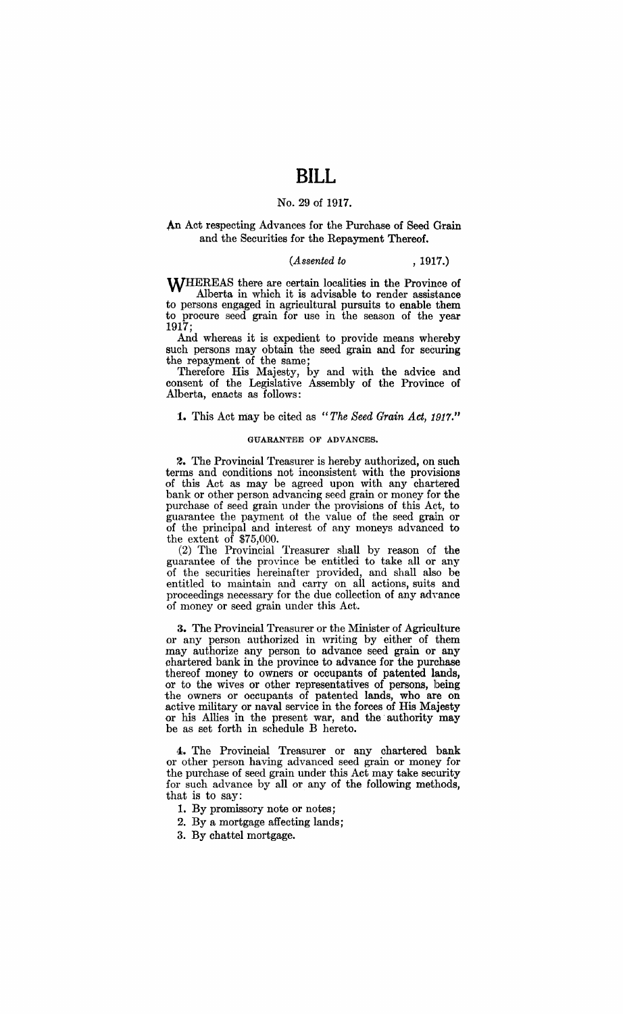# **BILL**

## No. 29 of 1917.

## An Act respecting Advances for the Purchase of Seed Grain and the Securities for the Repayment Thereof.

## *(Assented to* , 1917.)

WHEREAS there are certain localities in the Province of Alberta in which it is advisable to render assistance to persons engaged in agricultural pursuits to enable them to procure seed grain for use in the season of the year 1917;

And whereas it is expedient to provide means whereby such persons may obtain the seed grain and for securing the repayment of the same;

Therefore His Majesty, by and with the advice and consent of the Legislative Assembly of the Province of Alberta, enacts as follows:

## **1.** This Act may be cited as "The Seed Grain Act, 1917."

## GUARANTEE OF ADVANCES.

2. The Provincial Treasurer is hereby authorized, on such terms and conditions not inconsistent with the provisions of this Act as may be agreed upon with any chartered bank or other person advancing seed grain or money for the purchase of seed grain under the provisions of this Act, to guarantee the payment ot the value of the seed grain or of the principal and interest of any moneys advanced to the extent of \$75,000.

(2) The Provincial Treasurer shall by reason of the guarantee of the province be entitled to take all or any of the securities hereinafter provided, and shall also be entitled to maintain and carry on all actions, suits and proceedings necessary for the due collection of any adyance of money or seed grain under this Act.

3. The Provincial Treasurer or the Minister of Agriculture or any person authorized in writing by either of them may authorize any person to advance seed grain or any chartered bank in the province to advance for the purchase thereof money to owners or occupants of patented lands, or to the wives or other representatives of persons, being the owners or occupants of patented lands, who are on active military or naval service in the forces of His Majesty or his Allies in the present war, and the' authority may be as set forth in schedule B hereto.

4. The Provincial Treasurer or any chartered bank or other person having advanced seed grain or money for the purchase of seed grain under this Act may take security for such advance by all or any of the following methods, that is to say:

1. By promissory note or notes;

- 2. By a mortgage affecting lands;
- 3. By chattel mortgage.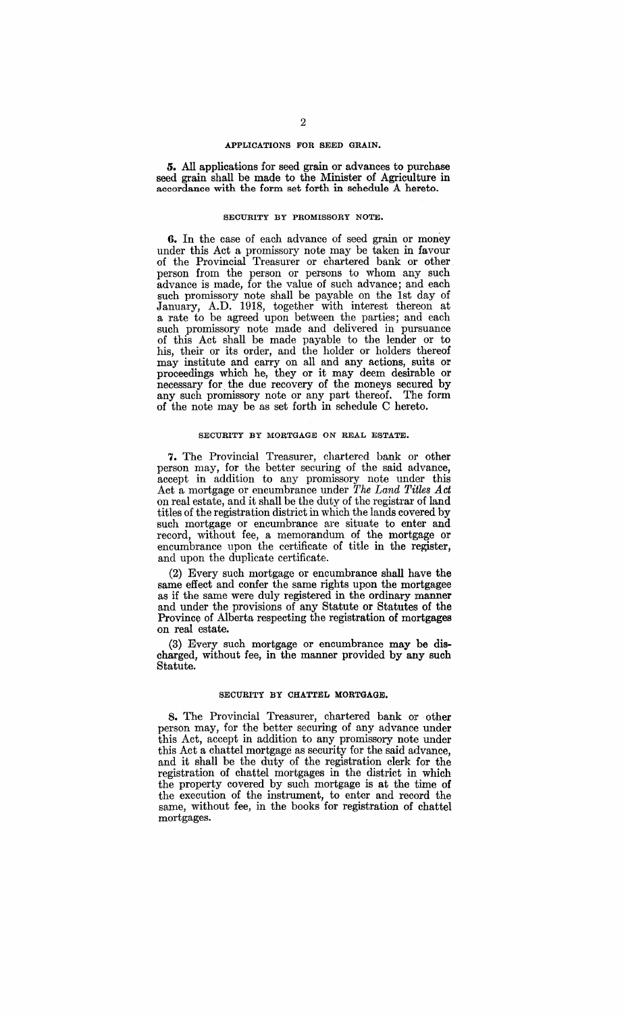### APPLICATIONS FOR SEED GRAIN.

5. All applications for seed grain or advances to purchase seed grain shall be made to the Minister of Agriculture in accordance with the form set forth in schedule A hereto.

## SECURITY BY PROMISSORY NOTE.

6. In the case of each advance of seed grain or money under this Act a promissory note may be taken in favour of the Provincial Treasurer or chartered bank or other person from the person or persons to whom any such advance is made, for the value of such advance; and each such promissory note shall be payable on the 1st day of January, A.D. 1918, together with interest thereon at a rate to be agreed upon between the parties; and each such promissory note made and delivered in pursuance of this Act shall be made payable to the lender or to his, their or its order, and the holder or holders thereof may institute and carry on all and any actions, suits or proceedings which he, they or it may deem desimble or necessary for. the due recovery of the moneys secured by any such promissory note or any part thereof. The form of the note may be as set forth in schedule C hereto.

## SECURITY BY MORTGAGE ON REAL ESTATE.

7. The Provincial Treasurer, chartered bank or other person may, for the better securing of the said advance, accept in addition to any promissory note under this Act a mortgage or encumbrance under *The Land TiUes Act*  on real estate, and it shall be the duty of the registrar of land titles of the registration district in which the lands covered by such mortgage or encumbrance are situate to enter and record, without fee, a memorandum of the mortgage or encumbrance upon the certificate of title in the register, and upon the duplicate certificate.

(2) Every such mortgage or encumbrance shall have the same effect and confer the same rights upon the mortgagee as if the same were duly registered in the ordinary manner and under the provisions of any Statute or Statutes of the Province of Alberta respecting the registration of mortgages on real estate.

(3) Every such mortgage or encumbrance may be discharged, without fee, in the manner provided by any such Statute.

## SECURITY BY CHATTEL MORTGAGE.

8. The Provincial Treasurer, chartered bank or other person may, for the better securing of any advance under this Act, accept in addition to any promissory note under this Act a chattel mortgage as security for the said advance, and it shall be the duty of the registration clerk for the registration of chattel mortgages in the district in which the property covered by such mortgage is at the time of the execution of the instrument, to enter and record the same, without fee, in the books for registration of chattel mortgages.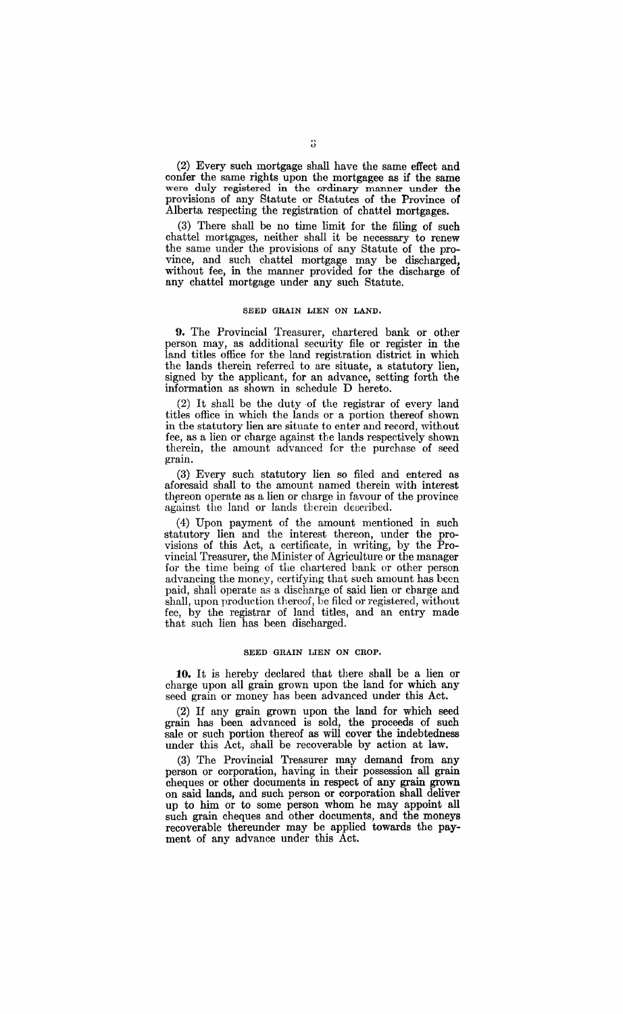(2) Every such mortgage shall have the same effect and confer the same rights upon the mortgagee as if the same were duly registered in the ordinary manner under the provisions of any Statute or Statutes of the Province of Alberta respecting the registration of chattel mortgages.

(3) There shall be no time limit for the filing of such chattel mortgages, neither shall it be necessary to renew the same under the provisions of any Statute of the province, and such chattel mortgage may be discharged, without fee, in the manner provided for the discharge of any chattel mortgage under any such Statute.

### SEED GRAIN LIEN ON LAND.

**9.** The Provincial Treasurer, chartered bank or other person may, as additional security file or register in the land titles office for the land registration district in which the lands therein referred to are situate, a statutory lien, signed by the applicant, for an advance, setting forth the information as shown in schedule D hereto.

(2) It shall be the duty of the registrar of every land titles office in which the lands or a portion thereof shown in the statutory lien are situate to enter and record, without fee, as a lien or charge against the lands respectively shown therein, the amount advanced for the purchase of seed grain.

(3) Every such statutory lien so filed and entered as aforesaid shall to the amount named therein with interest thereon operate as a lien or charge in favour of the province against the land or lands therein described.

(4) Upon payment of the amount mentioned in such statutory lien and the interest thereon, under the provisions of this Act, a certificate, in writing, by the Provincial Treasurer, the Minister of Agriculture or the manager for the time being of the chartered bank or other person advancing the money, certifying that such amount has been paid, shall operate as a discharge of said lien or charge and shall, upon production thereof, be filed or registered, without fee, by the registrar of land titles, and an entry made that such lien has been discharged.

## SEED GRAIN LIEN ON CROP.

**10.** It is hereby declared that there shall be a lien or charge upon all grain grown upon the land for which any seed grain or money has been advanced under this Act.

(2) If any grain grown upon the land for which seed grain has been advanced is sold, the proceeds of such sale or such portion thereof as **will** cover the indebtedness under this Act, shall be recoverable by action at law.

(3) The Provincial Treasurer may demand from any person or corporation, having in their possession all grain cheques or other documents in respect of any grain grown on said lands, and such person or corporation shall deliver up to him or to some person whom he may appoint all such grain cheques and other documents, and the moneys recoverable thereunder may be applied towards the payment of any advance under this Act.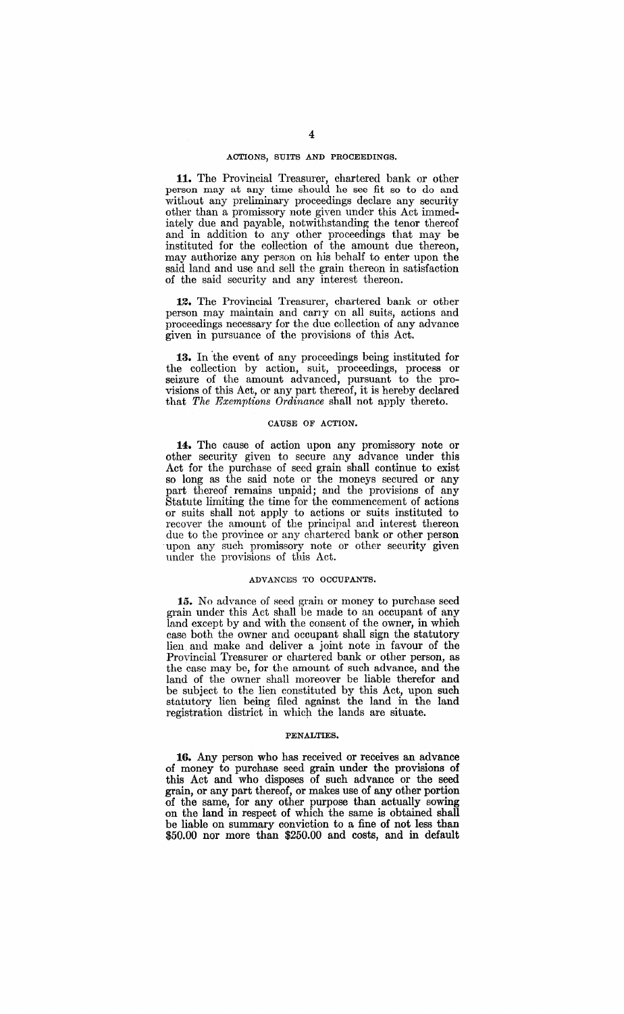## ACTIONS, SUITS AND PROCEEDINGS.

**11.** The Provincial Treasurer, chartered bank or other person nmy at any time should he see fit so to do and without any preliminary proceedings declare any security other than a promissory note given under this Act immediately due and payable, notwithstanding the tenor thereof and in addition to any other proceedings that may be instituted for the collection of the amount due thereon, may authorize any person on his behalf to enter upon the said land and use and sell the grain thereon in satisfaction of the said security and any interest thereon.

12. The Provincial Treasurer, chartered bank or other person may maintain and canyon all suits, actions and proceedings necessary for the due collection of any advance given in pursuance of the provisions of this Act.

**13.** In 'the event of any proceedings being instituted for the collection by action, suit, proceedings, process or seizure of the amount advanced, pursuant to the provisions of this Act, or any part thereof, it is hereby declared that *The Exemptions Ordinance* shall not apply thereto.

## CAUSE OF ACTION.

**14.** The cause of action upon any promissory note or other security given to secure any advance under this Act for the purchase of seed grain shall continue to exist so long as the said note or the moneys secured or any part thereof remains unpaid; and the provisions of any Statute limiting the time for the commencement of actions or suits shall not apply to actions or suits instituted to recover the amount of the principal and interest thereon due to the province or any chartered bank or other person upon any such promissory note or other security given under the provisions of this Act.

### ADVANCES TO OCCUPANTS.

**15.** No advance of seed grain or money to purchase seed grain under this Act shall be made to an occupant of any land except by and with the consent of the owner, in which case both the owner and occupant shall sign the statutory lien. and make and deliver a joint note in favour of the Provincial Treasurer or chartered bank or other person, as the case may be, for the amount of such advance, and the land of the owner shall moreover be liable therefor and be subject to the lien constituted by this Act, upon such statutory lien being filed against the land in the land registration district in which the lands are situate.

#### PENALTIES.

**16.** Any person who has received or receives an advance of money to purchase seed grain under the provisions of this Act and who disposes of such advance or the seed grain, or any part thereof, or makes use of any other portion of the same, for any other purpose than actually sowing on the land in respect of which the same is obtained shall be liable on summary conviction to a fine of not less than \$50.00 nor more than \$250.00 and costs, and in default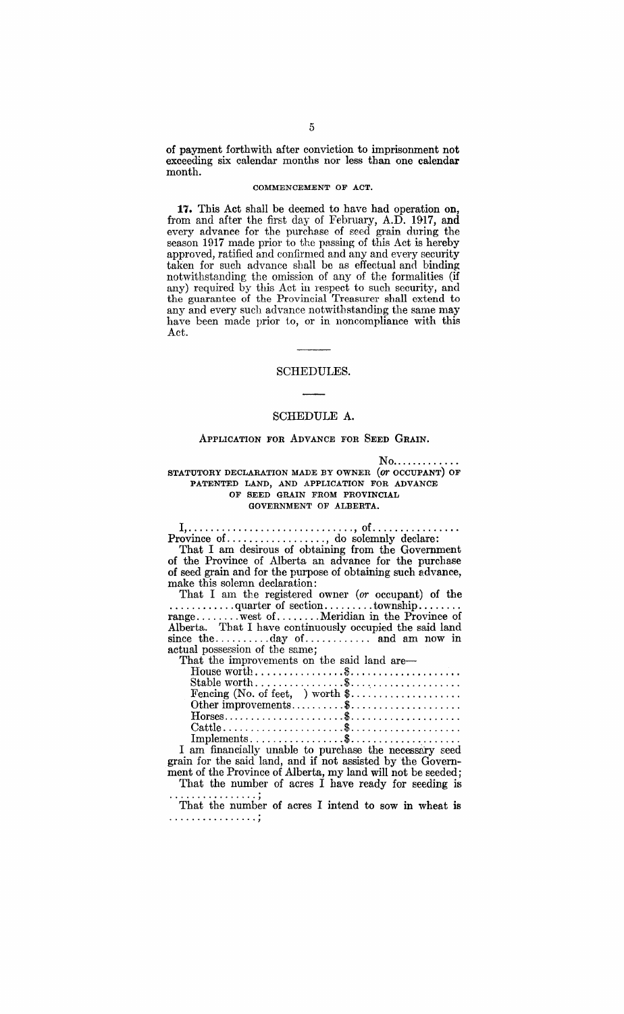of payment forthwith after conviction to imprisonment not exceeding six calendar months nor less than one calendar month.

## COMMENCEMENT OF ACT.

**17.** This Act shall be deemed to have had operation on, from and after the first day of February, A.D. 1917, and every advance for the purchase of seed grain during the season 1917 made prior to the passing of this Act is hereby approved, ratified and confirmed and any and every security taken for such advance shall be as effectual and binding notwithstanding the omission of any of the formalities (if any) required by this Act in respect to such security, and the guarantee of the Provincial Treasurer shall extend to any and every such advance notwithstanding the same may have been made prior to, or in noncompliance with this Act.

### SCHEDULES.

## SCHEDULE A.

### ApPLICATION FOR ADVANCE FOR SEED GRAIN.

 $No$ .............

STATUTORY DECLARATION MADE BY OWNER (or OCCUPANT) OF PATENTED LAND, AND APPLICATION FOR ADVANCE OF SEED GRAIN FROM PROVINCIAL GOVERNMENT OF ALBERTA.

I, .............................. , of ............... . Province of. ................. , do solemnly dech~re:

That I am desirous of obtaining from the Government of the Province of Alberta an advance for the purchase of seed grain and for the purpose of obtaining such advance, make this solemn declaration:

That I am the registered owner *(or* occupant) of the ............ quarter of section ......... township ....... . range ........ west of ........ Meridian in the Province of Alberta. That I have continuously occupied the said land since the  $\dots \dots \dots$  day of  $\dots \dots \dots$  and am now in actual possession of the same;

That the improvements on the said land are-

| Fencing (No. of feet, ) worth $\text{\$} \ldots \ldots \ldots \ldots \ldots$                         |
|------------------------------------------------------------------------------------------------------|
| Other improvements\$                                                                                 |
| $\text{Horses.} \dots \dots \dots \dots \dots \dots \dots \dots \dots \dots \dots \dots \dots \dots$ |
|                                                                                                      |
| $Implements \dots \dots \dots \dots \dots \dots$                                                     |
|                                                                                                      |

I am financially unable to purchase the necessary seed grain for the said land, and if not assisted by the Government of the Province of Alberta, my land will not be seeded;

That the number of acres I have ready for seeding is ............................ , That the number of acres I intend to sow in wheat is ............................... ,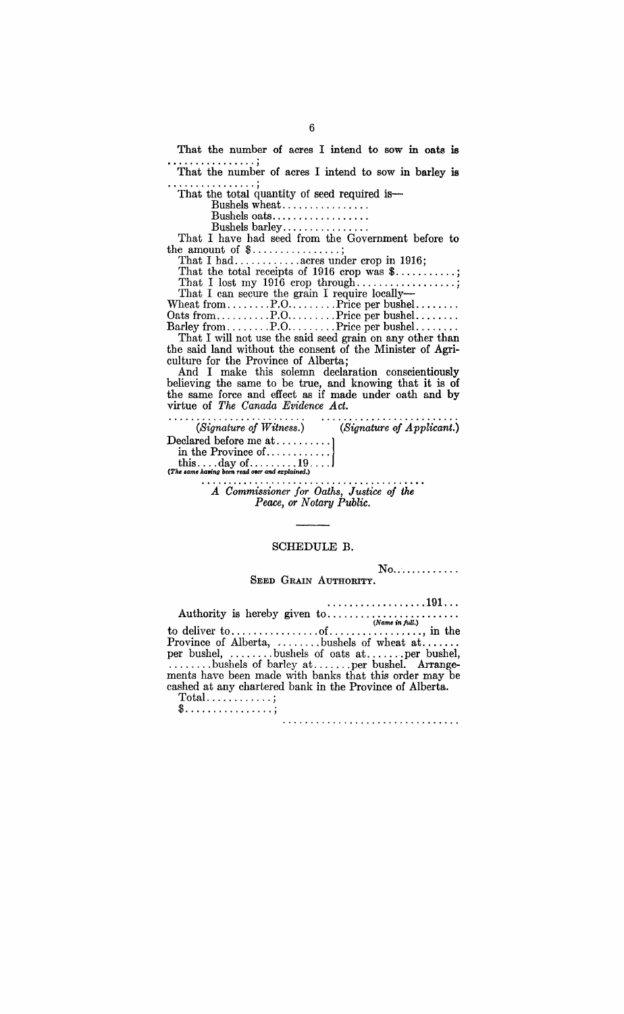That the number of acres I intend to sow in oats is ................ , That the number of acres I intend to sow in barley is ................ , That the total quantity of seed required is-

Bushels oats .................<br>Bushels barley .................<br>That I have had seed from the Government before to that I have had seed from the

That I had ............ acres under crop in 1916;

That the total receipts of 1916 crop was \$...........; That I lost my 1916 crop through .................. ; That I can secure the grain I require locally-

Wheat from.........P.O..........Price per bushel.........<br>Oats from...........P.O..........Price per bushel.........<br>Barley from.........P.O.........Price per bushel.........<br>That I will not use the said seed grain on any

the said land without the consent of the Minister of Agriculture for the Province of Alberta;

And I make this solemn declaration conscientiously believing the same to be true, and knowing that it is of the same force and effect as if made under oath and by virtue of *The Canada Evidence Act.* 

| (Signature of Witness.)                                                                       | (Signature of Application). |
|-----------------------------------------------------------------------------------------------|-----------------------------|
|                                                                                               |                             |
|                                                                                               |                             |
| this $\dots$ day of $\dots \dots 19 \dots$<br>(The same having been read over and explained.) |                             |
|                                                                                               |                             |

*A Commissioner Jor Oaths, Justice oj the Peace, or Notary Public.* 

## SCHEDULE B.

No..............<br>SEED GRAIN AUTHORITY.

......... ........ . 191 .. . Authority is hereby given to ....................... . *(Name in full.)*  to deliver to  $\dots \dots \dots \dots$  of  $\dots \dots \dots \dots$ , in the Province of Alberta, , ....... bushels of wheat at ...... . per bushel, ........ bushels of oats at ....... per bushel, ........ bushels of barley at ....... per bushel. Arrange-

ments have been made with banks that this order may be cashed at any chartered bank in the Province of Alberta.

 $Total \ldots \ldots \ldots$ ; \$ ................ ;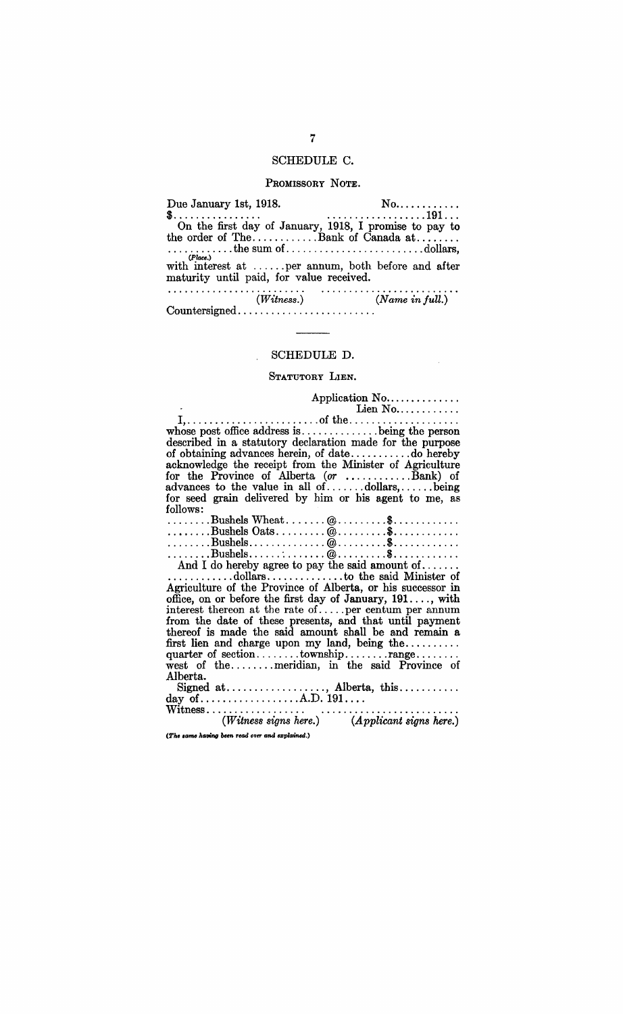## SCHEDULE C.

## PROMISSORY NOTE.

Due January 1st, 1918. No ........... . \$................ . ................. 191 .. . On the first day of January, 1918, I promise to pay to the order of The ............ Bank of Canada at ....... . · ........... the sum of ......................... dollars, (Place.) with interest at  $\dots$  per annum, both before and after maturity until paid, for value received.

*(Witness.) (N arne in* full.) Countersigned ........................ .

## SCHEDULE D.

## STATUTORY LIEN.

Application No ........ " .... . Lien No ...... " .... . I, ........................ of the ................... . whose post office address is .............. being the person described in a statutory declaration made for the purpose of obtaining advances herein, of date .............. do hereby acknowledge the receipt from the Minister of Agriculture for the Province of Alberta (or  $\dots \dots \dots$ Bank) of advances to the value in all of ....... dollars, ...... being for seed grain delivered by him or his agent to me, as follows:

| .com/us                                                                                                                    |  |  |  |  |
|----------------------------------------------------------------------------------------------------------------------------|--|--|--|--|
|                                                                                                                            |  |  |  |  |
| $\ldots \ldots$ . Bushels Oats $@ \ldots \ldots \ldots \ldots \ldots$                                                      |  |  |  |  |
| $\ldots \ldots \ldots$ Bushels $\ldots \ldots \ldots \ldots \otimes \ldots \ldots \ldots$ \$ $\ldots \ldots \ldots \ldots$ |  |  |  |  |
| $\dots\dots\dots \text{Bushels}\dots\dots\dots\dots \text{Q}\dots\dots\dots \text{S}\dots\dots\dots\dots$                  |  |  |  |  |
|                                                                                                                            |  |  |  |  |

And I do hereby agree to pay the said amount of ...... . · ........... dollars .............. to the said Minister of

Agriculture of the Province of Alberta, or his successor in office, on or before the first day of January, 191 .... , with interest thereon at the rate of  $\dots$  per centum per annum from the date of these presents, and that until payment thereof is made the said amount shall be and remain a first lien and charge upon my land, being the ......... . quarter of section ........ township ........ range ....... . west of the ........ meridian, in the said Province of Alberta.

Signed at .................. , Alberta, this .......... . day of .................. A.D. 191 ... . Witness.................. . ....................... . *(Witness* signs *here.) (Applicant signs here.)* 

*(The same having been read over and explained.)* 

7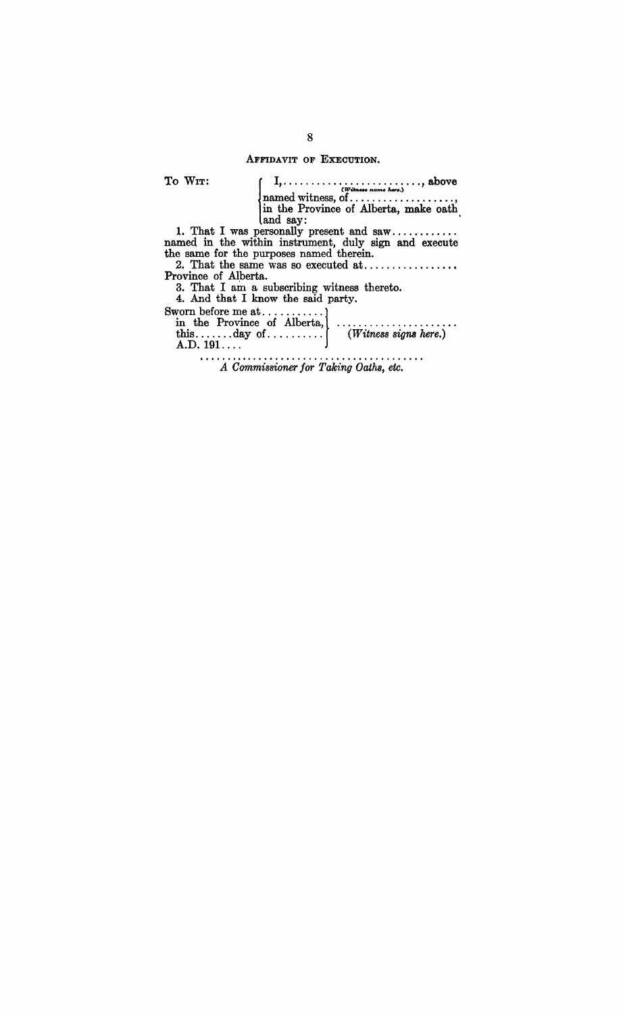AFFIDAVIT OF EXECUTION.

To WIT:

 $\left\{\n\begin{array}{l}\nI_1, \ldots, I_n, \ldots, I_n, \ldots, I_n, \ldots, I_n, \ldots, I_n, \ldots, I_n, \ldots, I_n, \ldots, I_n, \ldots, I_n, \ldots, I_n, \ldots, I_n, \ldots, I_n, \ldots, I_n, \ldots, I_n, \ldots, I_n, \ldots, I_n, \ldots, I_n, \ldots, I_n, \ldots, I_n, \ldots, I_n, \ldots, I_n, \ldots, I_n, \ldots, I_n, \ldots, I_n, \ldots, I_n, \ldots, I_n, \ldots, I_n, \ldots, I_n, \ldots, I_n,$ named witness, of .......................<br>in the Province of Alberta, make oath

and say: . 1. That I was personally present and saw ........... . named in the within instrument, duly sign and execute the same for the purposes named therein.

2. That the same was so executed at ................•

Province of Alberta.

3. That I am a subscribing witness thereto. Sworn before me at ........... !

4. And that I know the said party.

in the Province of Alberta, ..................... . this ....... day of. . . . . . . . . . *(Witness sigm here.)*   $A.D. 191...$ 

*A Commissioner for Taking Oaths, etc.*